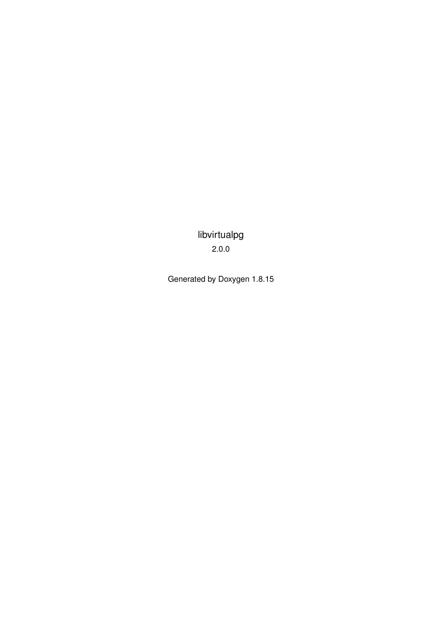libvirtualpg 2.0.0

Generated by Doxygen 1.8.15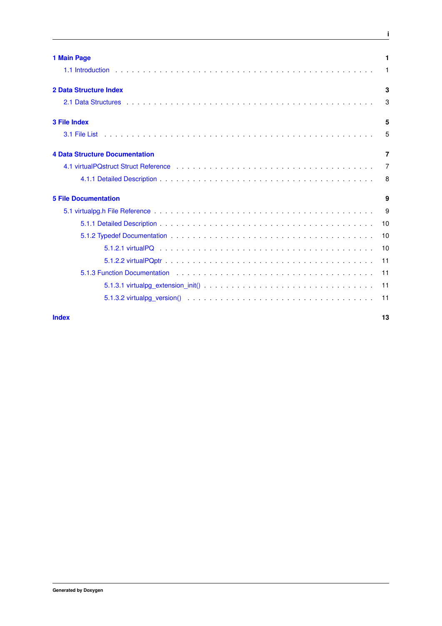| 1 Main Page                                                                                                                                                                                                                    | 1              |
|--------------------------------------------------------------------------------------------------------------------------------------------------------------------------------------------------------------------------------|----------------|
|                                                                                                                                                                                                                                | 1              |
| <b>2 Data Structure Index</b>                                                                                                                                                                                                  | 3              |
|                                                                                                                                                                                                                                | 3              |
| <b>3 File Index</b>                                                                                                                                                                                                            | 5              |
|                                                                                                                                                                                                                                | 5              |
| <b>4 Data Structure Documentation</b>                                                                                                                                                                                          | 7              |
|                                                                                                                                                                                                                                | $\overline{7}$ |
|                                                                                                                                                                                                                                | 8              |
| <b>5 File Documentation</b>                                                                                                                                                                                                    | 9              |
|                                                                                                                                                                                                                                | 9              |
|                                                                                                                                                                                                                                | 10             |
|                                                                                                                                                                                                                                | 10             |
|                                                                                                                                                                                                                                | 10             |
|                                                                                                                                                                                                                                | 11             |
| 5.1.3 Function Documentation (1) and (1) and (1) and (1) and (1) and (1) and (1) and (1) and (1) and (1) and (1) and (1) and (1) and (1) and (1) and (1) and (1) and (1) and (1) and (1) and (1) and (1) and (1) and (1) and ( | 11             |
|                                                                                                                                                                                                                                | -11            |
|                                                                                                                                                                                                                                | 11             |

**i**

**[Index](#page-16-0) 13**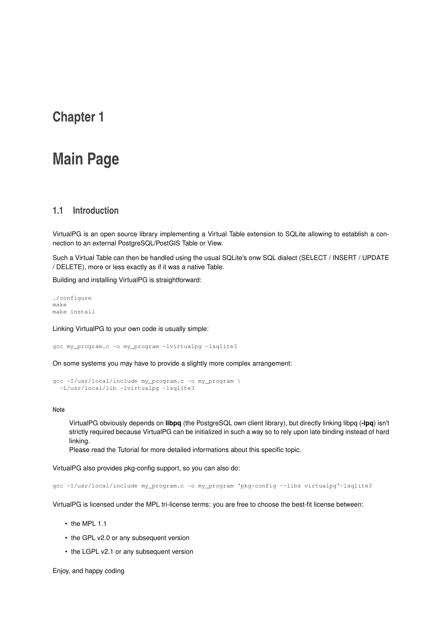## <span id="page-4-0"></span>**Main Page**

### <span id="page-4-1"></span>**1.1 Introduction**

VirtualPG is an open source library implementing a Virtual Table extension to SQLite allowing to establish a connection to an external PostgreSQL/PostGIS Table or View.

Such a Virtual Table can then be handled using the usual SQLite's onw SQL dialect (SELECT / INSERT / UPDATE / DELETE), more or less exactly as if it was a native Table.

Building and installing VirtualPG is straightforward:

./configure make make install

Linking VirtualPG to your own code is usually simple:

gcc my\_program.c -o my\_program -lvirtualpg -lsqlite3

On some systems you may have to provide a slightly more complex arrangement:

```
gcc -I/usr/local/include my_program.c -o my_program \
-L/usr/local/lib -lvirtualpg -lsqlite3
```
#### **Note**

VirtualPG obviously depends on **libpq** (the PostgreSQL own client library), but directly linking libpq (**-lpq**) isn't strictly required because VirtualPG can be initialized in such a way so to rely upon late binding instead of hard linking.

Please read the Tutorial for more detailed informations about this specific topic.

VirtualPG also provides pkg-config support, so you can also do:

gcc -I/usr/local/include my\_program.c -o my\_program 'pkg-config --libs virtualpg'-lsqlite3

VirtualPG is licensed under the MPL tri-license terms: you are free to choose the best-fit license between:

- the MPL 1.1
- the GPL v2.0 or any subsequent version
- the LGPL v2.1 or any subsequent version

Enjoy, and happy coding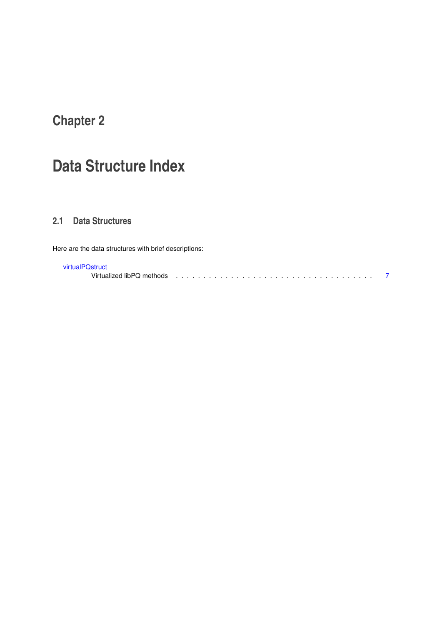# <span id="page-6-0"></span>**Data Structure Index**

## <span id="page-6-1"></span>**2.1 Data Structures**

Here are the data structures with brief descriptions:

### [virtualPQstruct](#page-10-1)

Virtualized libPQ methods . . . . . . . . . . . . . . . . . . . . . . . . . . . . . . . . . . . . [7](#page-10-1)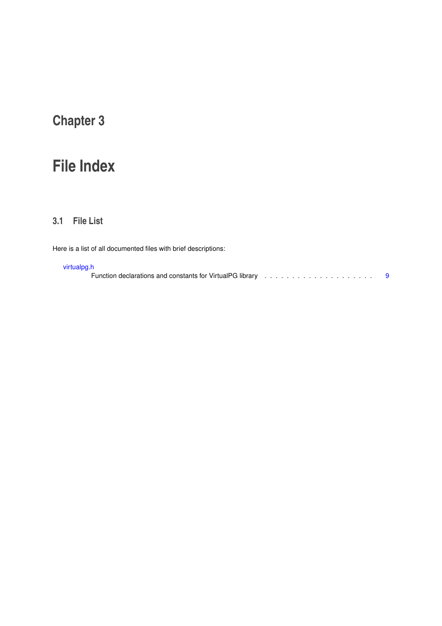# <span id="page-8-0"></span>**File Index**

### <span id="page-8-1"></span>**3.1 File List**

Here is a list of all documented files with brief descriptions:

### [virtualpg.h](#page-12-1)

Function declarations and constants for VirtualPG library . . . . . . . . . . . . . . . . . . . . [9](#page-12-1)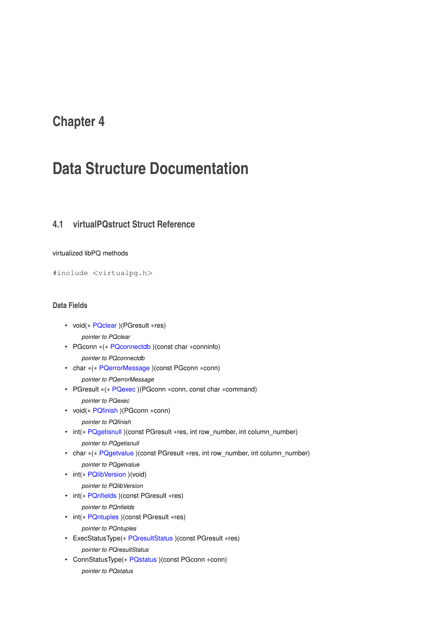# <span id="page-10-14"></span><span id="page-10-0"></span>**Data Structure Documentation**

## <span id="page-10-1"></span>**4.1 virtualPQstruct Struct Reference**

### virtualized libPQ methods

#include <virtualpg.h>

### **Data Fields**

- <span id="page-10-2"></span>• void(∗ [PQclear](#page-10-2) )(PGresult ∗res)
	- *pointer to PQclear*
- <span id="page-10-3"></span>• PGconn ∗(∗ [PQconnectdb](#page-10-3) )(const char ∗conninfo)

*pointer to PQconnectdb*

- <span id="page-10-4"></span>• char ∗(∗ [PQerrorMessage](#page-10-4) )(const PGconn ∗conn)
	- *pointer to PQerrorMessage*
- <span id="page-10-5"></span>• PGresult ∗(∗ [PQexec](#page-10-5) )(PGconn ∗conn, const char ∗command)
	- *pointer to PQexec*
- <span id="page-10-6"></span>• void(∗ [PQfinish](#page-10-6) )(PGconn ∗conn)
	- *pointer to PQfinish*
- <span id="page-10-7"></span>• int(∗ [PQgetisnull](#page-10-7) )(const PGresult ∗res, int row\_number, int column\_number) *pointer to PQgetisnull*
- <span id="page-10-8"></span>• char \*(\* [PQgetvalue](#page-10-8) )(const PGresult \*res, int row\_number, int column\_number)

*pointer to PQgetvalue*

<span id="page-10-9"></span>• int(∗ [PQlibVersion](#page-10-9) )(void)

*pointer to PQlibVersion*

<span id="page-10-10"></span>• int(∗ [PQnfields](#page-10-10) )(const PGresult ∗res)

*pointer to PQnfields*

<span id="page-10-11"></span>• int(∗ [PQntuples](#page-10-11) )(const PGresult ∗res)

*pointer to PQntuples*

- <span id="page-10-12"></span>• ExecStatusType(∗ [PQresultStatus](#page-10-12) )(const PGresult ∗res) *pointer to PQresultStatus*
- <span id="page-10-13"></span>• ConnStatusType(∗ [PQstatus](#page-10-13) )(const PGconn ∗conn) *pointer to PQstatus*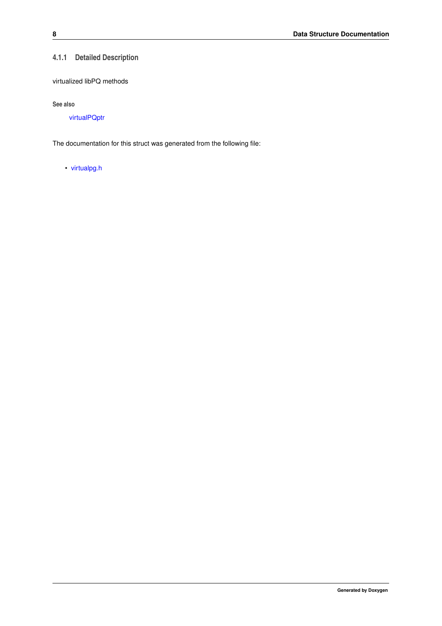### <span id="page-11-0"></span>**4.1.1 Detailed Description**

virtualized libPQ methods

**See also**

[virtualPQptr](#page-13-3)

The documentation for this struct was generated from the following file:

• [virtualpg.h](#page-12-1)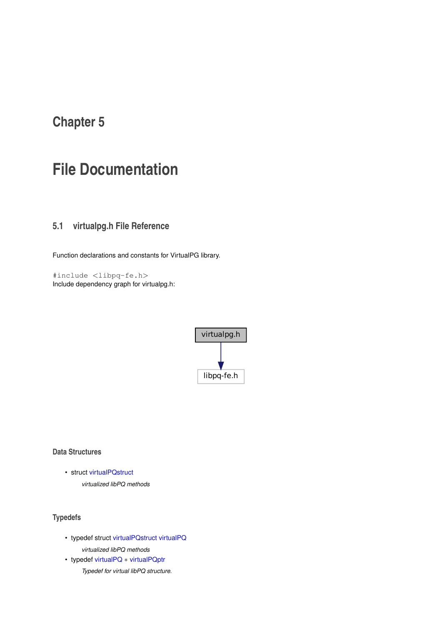# <span id="page-12-2"></span><span id="page-12-0"></span>**File Documentation**

## <span id="page-12-1"></span>**5.1 virtualpg.h File Reference**

Function declarations and constants for VirtualPG library.

#include <libpq-fe.h> Include dependency graph for virtualpg.h:



**Data Structures**

• struct [virtualPQstruct](#page-10-1)

*virtualized libPQ methods*

### **Typedefs**

- typedef struct [virtualPQstruct](#page-10-1) [virtualPQ](#page-13-4) *virtualized libPQ methods*
- typedef [virtualPQ](#page-13-4) ∗ [virtualPQptr](#page-13-3) *Typedef for virtual libPQ structure.*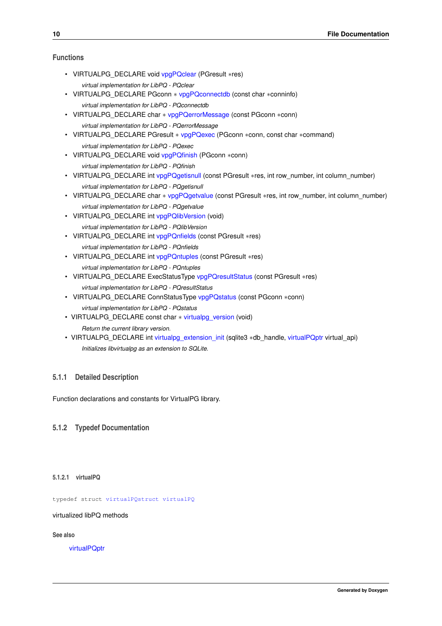### <span id="page-13-17"></span>**Functions**

- <span id="page-13-5"></span>• VIRTUALPG\_DECLARE void [vpgPQclear](#page-13-5) (PGresult ∗res) *virtual implementation for LibPQ - PQclear*
- <span id="page-13-6"></span>• VIRTUALPG\_DECLARE PGconn ∗ [vpgPQconnectdb](#page-13-6) (const char ∗conninfo) *virtual implementation for LibPQ - PQconnectdb*
- <span id="page-13-7"></span>• VIRTUALPG\_DECLARE char ∗ [vpgPQerrorMessage](#page-13-7) (const PGconn ∗conn) *virtual implementation for LibPQ - PQerrorMessage*
- <span id="page-13-8"></span>• VIRTUALPG\_DECLARE PGresult ∗ [vpgPQexec](#page-13-8) (PGconn ∗conn, const char ∗command) *virtual implementation for LibPQ - PQexec*
- <span id="page-13-9"></span>• VIRTUALPG\_DECLARE void [vpgPQfinish](#page-13-9) (PGconn ∗conn) *virtual implementation for LibPQ - PQfinish*
- <span id="page-13-10"></span>• VIRTUALPG\_DECLARE int [vpgPQgetisnull](#page-13-10) (const PGresult ∗res, int row\_number, int column\_number) *virtual implementation for LibPQ - PQgetisnull*
- <span id="page-13-11"></span>• VIRTUALPG\_DECLARE char ∗ [vpgPQgetvalue](#page-13-11) (const PGresult ∗res, int row\_number, int column\_number) *virtual implementation for LibPQ - PQgetvalue*
- <span id="page-13-12"></span>• VIRTUALPG DECLARE int [vpgPQlibVersion](#page-13-12) (void) *virtual implementation for LibPQ - PQlibVersion*
- <span id="page-13-13"></span>• VIRTUALPG\_DECLARE int [vpgPQnfields](#page-13-13) (const PGresult ∗res) *virtual implementation for LibPQ - PQnfields*
- <span id="page-13-14"></span>• VIRTUALPG\_DECLARE int [vpgPQntuples](#page-13-14) (const PGresult ∗res) *virtual implementation for LibPQ - PQntuples*
- <span id="page-13-15"></span>• VIRTUALPG\_DECLARE ExecStatusType [vpgPQresultStatus](#page-13-15) (const PGresult ∗res) *virtual implementation for LibPQ - PQresultStatus*
- <span id="page-13-16"></span>• VIRTUALPG\_DECLARE ConnStatusType [vpgPQstatus](#page-13-16) (const PGconn ∗conn) *virtual implementation for LibPQ - PQstatus*
- VIRTUALPG\_DECLARE const char \* [virtualpg\\_version](#page-14-4) (void) *Return the current library version.*
- VIRTUALPG\_DECLARE int [virtualpg\\_extension\\_init](#page-14-5) (sqlite3 ∗db\_handle, [virtualPQptr](#page-13-3) virtual\_api) *Initializes libvirtualpg as an extension to SQLite.*

### <span id="page-13-0"></span>**5.1.1 Detailed Description**

Function declarations and constants for VirtualPG library.

### <span id="page-13-4"></span><span id="page-13-1"></span>**5.1.2 Typedef Documentation**

### <span id="page-13-2"></span>**5.1.2.1 virtualPQ**

typedef struct [virtualPQstruct](#page-10-1) [virtualPQ](#page-13-4)

virtualized libPQ methods

**See also**

<span id="page-13-3"></span>[virtualPQptr](#page-13-3)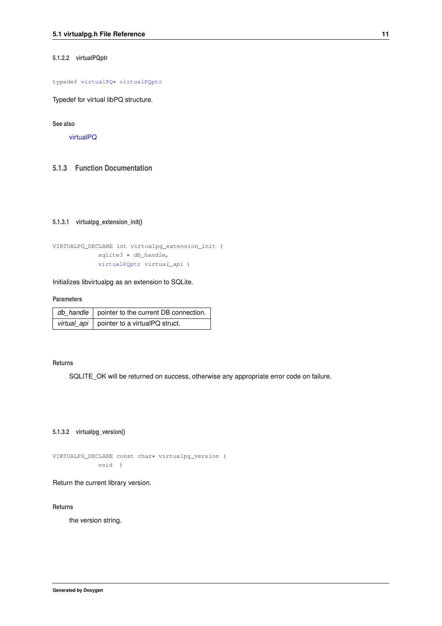### <span id="page-14-6"></span><span id="page-14-0"></span>**5.1.2.2 virtualPQptr**

typedef [virtualPQ](#page-13-4)∗ [virtualPQptr](#page-13-3)

Typedef for virtual libPQ structure.

**See also**

[virtualPQ](#page-13-4)

### <span id="page-14-5"></span><span id="page-14-1"></span>**5.1.3 Function Documentation**

### <span id="page-14-2"></span>**5.1.3.1 virtualpg\_extension\_init()**

```
VIRTUALPG_DECLARE int virtualpg_extension_init (
          sqlite3 ∗ db_handle,
          virtualPQptr virtual_api )
```
### Initializes libvirtualpg as an extension to SQLite.

#### **Parameters**

| $\mid$ db_handle $\mid$ pointer to the current DB connection. |
|---------------------------------------------------------------|
| virtual_api   pointer to a virtualPQ struct.                  |

#### **Returns**

<span id="page-14-4"></span>SQLITE\_OK will be returned on success, otherwise any appropriate error code on failure.

<span id="page-14-3"></span>**5.1.3.2 virtualpg\_version()**

VIRTUALPG\_DECLARE const char∗ virtualpg\_version ( void )

### Return the current library version.

**Returns**

the version string.